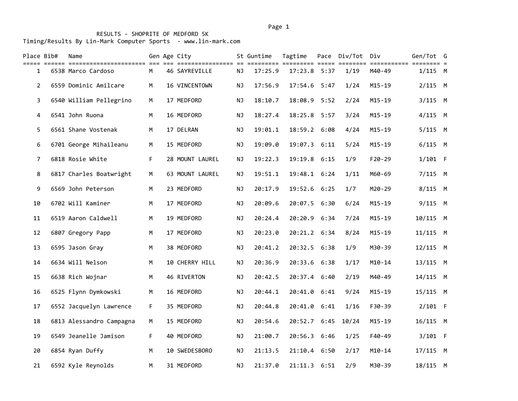| Place Bib#     | Name                     |    | Gen Age City<br>================== |           | St Guntime | Tagtime      |      | Pace Div/Tot | Div                      | Gen/Tot G  |  |
|----------------|--------------------------|----|------------------------------------|-----------|------------|--------------|------|--------------|--------------------------|------------|--|
| 1              | 6538 Marco Cardoso       | M  | 46 SAYREVILLE                      | NJ        | 17:25.9    | 17:23.8 5:37 |      | 1/19         | =========== ==<br>M40-49 | $1/115$ M  |  |
| $\overline{2}$ | 6559 Dominic Amilcare    | M  | 16 VINCENTOWN                      | <b>NJ</b> | 17:56.9    | 17:54.6 5:47 |      | 1/24         | $M15 - 19$               | $2/115$ M  |  |
| 3              | 6540 William Pellegrino  | M  | 17 MEDFORD                         | ΝJ        | 18:10.7    | 18:08.9 5:52 |      | 2/24         | $M15 - 19$               | $3/115$ M  |  |
| 4              | 6541 John Ruona          | M  | 16 MEDFORD                         | NJ        | 18:27.4    | 18:25.8 5:57 |      | 3/24         | $M15 - 19$               | $4/115$ M  |  |
| 5              | 6561 Shane Vostenak      | M  | 17 DELRAN                          | ΝJ        | 19:01.1    | 18:59.2      | 6:08 | 4/24         | $M15 - 19$               | $5/115$ M  |  |
| 6              | 6701 George Mihaileanu   | M  | 15 MEDFORD                         | <b>NJ</b> | 19:09.0    | 19:07.3 6:11 |      | 5/24         | $M15 - 19$               | $6/115$ M  |  |
| 7              | 6818 Rosie White         | F  | 28 MOUNT LAUREL                    | NJ        | 19:22.3    | 19:19.8      | 6:15 | 1/9          | F20-29                   | $1/101$ F  |  |
| 8              | 6817 Charles Boatwright  | M  | 63 MOUNT LAUREL                    | NJ        | 19:51.1    | 19:48.1 6:24 |      | 1/11         | M60-69                   | $7/115$ M  |  |
| 9              | 6569 John Peterson       | M  | 23 MEDFORD                         | <b>NJ</b> | 20:17.9    | 19:52.6      | 6:25 | 1/7          | M20-29                   | 8/115 M    |  |
| 10             | 6702 Will Kaminer        | M  | 17 MEDFORD                         | NJ        | 20:09.6    | 20:07.5 6:30 |      | 6/24         | $M15 - 19$               | $9/115$ M  |  |
| 11             | 6519 Aaron Caldwell      | M  | 19 MEDFORD                         | ΝJ        | 20:24.4    | 20:20.9      | 6:34 | 7/24         | $M15 - 19$               | 10/115 M   |  |
| 12             | 6807 Gregory Papp        | M  | 17 MEDFORD                         | ΝJ        | 20:23.0    | 20:21.2 6:34 |      | 8/24         | $M15 - 19$               | $11/115$ M |  |
| 13             | 6595 Jason Gray          | M  | 38 MEDFORD                         | <b>NJ</b> | 20:41.2    | 20:32.5      | 6:38 | 1/9          | M30-39                   | 12/115 M   |  |
| 14             | 6634 Will Nelson         | M  | 10 CHERRY HILL                     | NJ        | 20:36.9    | 20:33.6 6:38 |      | 1/17         | $M10 - 14$               | 13/115 M   |  |
| 15             | 6638 Rich Wojnar         | M  | 46 RIVERTON                        | ΝJ        | 20:42.5    | 20:37.4 6:40 |      | 2/19         | M40-49                   | 14/115 M   |  |
| 16             | 6525 Flynn Dymkowski     | M  | 16 MEDFORD                         | <b>NJ</b> | 20:44.1    | 20:41.0      | 6:41 | 9/24         | $M15 - 19$               | 15/115 M   |  |
| 17             | 6552 Jacquelyn Lawrence  | F  | 35 MEDFORD                         | <b>NJ</b> | 20:44.8    | 20:41.0      | 6:41 | 1/16         | F30-39                   | $2/101$ F  |  |
| 18             | 6813 Alessandro Campagna | M  | 15 MEDFORD                         | ΝJ        | 20:54.6    | 20:52.7 6:45 |      | 10/24        | $M15 - 19$               | 16/115 M   |  |
| 19             | 6549 Jeanelle Jamison    | F. | 40 MEDFORD                         | ΝJ        | 21:00.7    | 20:56.3 6:46 |      | 1/25         | F40-49                   | $3/101$ F  |  |
| 20             | 6854 Ryan Duffy          | M  | 10 SWEDESBORO                      | <b>NJ</b> | 21:13.5    | 21:10.4 6:50 |      | 2/17         | $M10 - 14$               | 17/115 M   |  |
| 21             | 6592 Kyle Reynolds       | М  | 31 MEDFORD                         | NJ        | 21:37.0    | 21:11.3 6:51 |      | 2/9          | M30-39                   | 18/115 M   |  |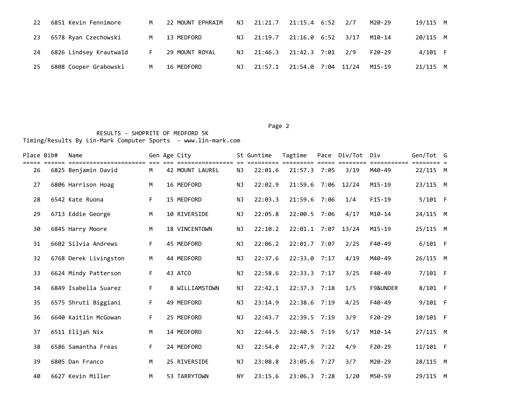| 22 | 6851 Kevin Fennimore   | M  | 22 MOUNT EPHRAIM | NJ. | 21:21.7 | 21:15.4 6:52       | 2/7  | M20-29   | 19/115 M   |  |
|----|------------------------|----|------------------|-----|---------|--------------------|------|----------|------------|--|
| 23 | 6578 Ryan Czechowski   | M  | 13 MEDFORD       | NJ. | 21:19.7 | 21:16.0 6:52       | 3/17 | M10-14   | 20/115 M   |  |
| 24 | 6826 Lindsey Krautwald | F. | 29 MOUNT ROYAL   | ΝJ  | 21:46.3 | 21:42.3 7:01       | 2/9  | $F20-29$ | 4/101 F    |  |
| 25 | 6808 Cooper Grabowski  | M  | 16 MEDFORD       | NJ. | 21:57.1 | 21:54.0 7:04 11/24 |      | M15-19   | $21/115$ M |  |

Page 2

| Place Bib# | Name                                           |    | Gen Age City         |           | St Guntime | Tagtime            | Pace Div/Tot | Div                | Gen/Tot G  |  |
|------------|------------------------------------------------|----|----------------------|-----------|------------|--------------------|--------------|--------------------|------------|--|
| 26         | =======================<br>6825 Benjamin David | M  | 42 MOUNT LAUREL      | NJ        | 22:01.6    | 21:57.3 7:05       | 3/19         | ========<br>M40-49 | $22/115$ M |  |
| 27         | 6806 Harrison Hoag                             | M  | 16 MEDFORD           | ΝJ        | 22:02.9    | 21:59.6 7:06       | 12/24        | $M15 - 19$         | 23/115 M   |  |
| 28         | 6542 Kate Ruona                                | F  | 15 MEDFORD           | <b>NJ</b> | 22:03.3    | 21:59.6 7:06       | 1/4          | $F15-19$           | $5/101$ F  |  |
| 29         | 6713 Eddie George                              | M  | 10 RIVERSIDE         | <b>NJ</b> | 22:05.8    | 22:00.5 7:06       | 4/17         | $M10-14$           | 24/115 M   |  |
| 30         | 6845 Harry Moore                               | M  | <b>18 VINCENTOWN</b> | <b>NJ</b> | 22:10.2    | 22:01.1 7:07 13/24 |              | $M15 - 19$         | 25/115 M   |  |
| 31         | 6602 Silvia Andrews                            | F. | 45 MEDFORD           | NJ        | 22:06.2    | $22:01.7$ 7:07     | 2/25         | F40-49             | $6/101$ F  |  |
| 32         | 6768 Derek Livingston                          | M  | 44 MEDFORD           | <b>NJ</b> | 22:37.6    | $22:33.0$ 7:17     | 4/19         | M40-49             | 26/115 M   |  |
| 33         | 6624 Mindy Patterson                           | F  | 43 ATCO              | <b>NJ</b> | 22:58.6    | $22:33.3$ 7:17     | 3/25         | F40-49             | 7/101 F    |  |
| 34         | 6849 Isabella Suarez                           | F  | 8 WILLIAMSTOWN       | <b>NJ</b> | 22:42.1    | $22:37.3$ 7:18     | 1/5          | F9&UNDER           | 8/101 F    |  |
| 35         | 6575 Shruti Biggiani                           | F. | 49 MEDFORD           | <b>NJ</b> | 23:14.9    | 22:38.6 7:19       | 4/25         | F40-49             | $9/101$ F  |  |
| 36         | 6640 Kaitlin McGowan                           | F. | 25 MEDFORD           | <b>NJ</b> | 22:43.7    | 22:39.5 7:19       | 3/9          | $F20-29$           | 10/101 F   |  |
| 37         | 6511 Elijah Nix                                | M  | 14 MEDFORD           | NJ.       | 22:44.5    | 22:40.5 7:19       | 5/17         | $M10-14$           | 27/115 M   |  |
| 38         | 6586 Samantha Freas                            | F  | 24 MEDFORD           | <b>NJ</b> | 22:54.0    | $22:47.9$ 7:22     | 4/9          | $F20-29$           | 11/101 F   |  |
| 39         | 6805 Dan Franco                                | M  | 25 RIVERSIDE         | <b>NJ</b> | 23:08.8    | 23:05.6 7:27       | 3/7          | M20-29             | 28/115 M   |  |
| 40         | 6627 Kevin Miller                              | M  | 53 TARRYTOWN         | <b>NY</b> | 23:15.6    | 23:06.3 7:28       | 1/20         | M50-59             | 29/115 M   |  |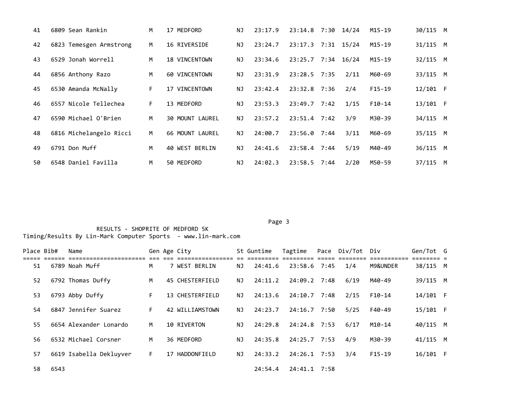| 41 | 6809 Sean Rankin        | M  | 17 MEDFORD             | ΝJ        | 23:17.9 | 23:14.8 7:30 14/24 |      | M15-19   | 30/115 M   |  |
|----|-------------------------|----|------------------------|-----------|---------|--------------------|------|----------|------------|--|
| 42 | 6823 Temesgen Armstrong | M  | 16 RIVERSIDE           | ΝJ        | 23:24.7 | 23:17.3 7:31 15/24 |      | M15-19   | 31/115 M   |  |
| 43 | 6529 Jonah Worrell      | M  | <b>18 VINCENTOWN</b>   | <b>NJ</b> | 23:34.6 | 23:25.7 7:34 16/24 |      | M15-19   | 32/115 M   |  |
| 44 | 6856 Anthony Razo       | M  | 60 VINCENTOWN          | ΝJ        | 23:31.9 | 23:28.5 7:35       | 2/11 | M60-69   | 33/115 M   |  |
| 45 | 6530 Amanda McNally     | F. | 17 VINCENTOWN          | NJ.       | 23:42.4 | 23:32.8 7:36       | 2/4  | $F15-19$ | $12/101$ F |  |
| 46 | 6557 Nicole Tellechea   | F. | 13 MEDFORD             | NJ.       | 23:53.3 | $23:49.7$ $7:42$   | 1/15 | $F10-14$ | $13/101$ F |  |
| 47 | 6590 Michael O'Brien    | M  | <b>30 MOUNT LAUREL</b> | NJ.       | 23:57.2 | $23:51.4$ 7:42     | 3/9  | M30-39   | 34/115 M   |  |
| 48 | 6816 Michelangelo Ricci | M  | 66 MOUNT LAUREL        | NJ.       | 24:00.7 | $23:56.0$ 7:44     | 3/11 | M60-69   | 35/115 M   |  |
| 49 | 6791 Don Muff           | м  | 40 WEST BERLIN         | ΝJ        | 24:41.6 | 23:58.4 7:44       | 5/19 | M40-49   | 36/115 M   |  |
| 50 | 6548 Daniel Favilla     | м  | 50 MEDFORD             | NJ        | 24:02.3 | 23:58.5 7:44       | 2/20 | M50-59   | 37/115 M   |  |

Page 3 and 2012 and 2012 and 2012 and 2012 and 2012 and 2012 and 2012 and 2012 and 2012 and 2012 and 2012 and

| Place Bib# |      | Name                    |    | Gen Age City    |     | St Guntime | Tagtime      | Pace Div/Tot Div |          | Gen/Tot G  |  |
|------------|------|-------------------------|----|-----------------|-----|------------|--------------|------------------|----------|------------|--|
| 51         |      | 6789 Noah Muff          | M  | 7 WEST BERLIN   | ΝJ  | 24:41.6    | 23:58.6 7:45 | 1/4              | M9&UNDER | 38/115 M   |  |
| 52         |      | 6792 Thomas Duffy       | M  | 45 CHESTERFIELD | ΝJ  | 24:11.2    | 24:09.2 7:48 | 6/19             | M40-49   | 39/115 M   |  |
| 53         |      | 6793 Abby Duffy         | F. | 13 CHESTERFIELD | NJ. | 24:13.6    | 24:10.7 7:48 | 2/15             | $F10-14$ | 14/101 F   |  |
| 54         |      | 6847 Jennifer Suarez    | F. | 42 WILLIAMSTOWN | ΝJ  | 24:23.7    | 24:16.7 7:50 | 5/25             | F40-49   | 15/101 F   |  |
| 55         |      | 6654 Alexander Lonardo  | M  | 10 RIVERTON     | ΝJ  | 24:29.8    | 24:24.8 7:53 | 6/17             | M10-14   | 40/115 M   |  |
| 56         |      | 6532 Michael Corsner    | M  | 36 MEDFORD      | ΝJ  | 24:35.8    | 24:25.7 7:53 | 4/9              | M30-39   | $41/115$ M |  |
| 57         |      | 6619 Isabella Dekluyver | F. | 17 HADDONFIELD  | ΝJ  | 24:33.2    | 24:26.1 7:53 | 3/4              | $F15-19$ | $16/101$ F |  |
| 58         | 6543 |                         |    |                 |     | 24:54.4    | 24:41.1 7:58 |                  |          |            |  |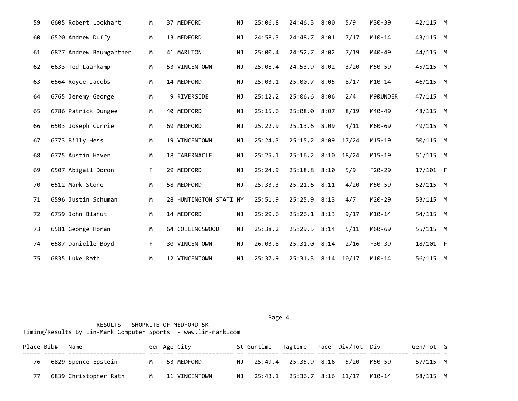| 59 |                   | 6605 Robert Lockhart    | М  | 37 MEDFORD             | NJ        | 25:06.8 | 24:46.5 8:00       | 5/9   | M30-39     | 42/115 M |  |
|----|-------------------|-------------------------|----|------------------------|-----------|---------|--------------------|-------|------------|----------|--|
| 60 | 6520 Andrew Duffy |                         | M  | 13 MEDFORD             | NJ        | 24:58.3 | 24:48.7 8:01       | 7/17  | $M10 - 14$ | 43/115 M |  |
| 61 |                   | 6827 Andrew Baumgartner | M  | 41 MARLTON             | NJ        | 25:00.4 | 24:52.7 8:02       | 7/19  | M40-49     | 44/115 M |  |
| 62 | 6633 Ted Laarkamp |                         | М  | 53 VINCENTOWN          | NJ        | 25:08.4 | 24:53.9 8:02       | 3/20  | M50-59     | 45/115 M |  |
| 63 | 6564 Royce Jacobs |                         | M  | 14 MEDFORD             | <b>NJ</b> | 25:03.1 | 25:00.7 8:05       | 8/17  | $M10 - 14$ | 46/115 M |  |
| 64 |                   | 6765 Jeremy George      | M  | 9 RIVERSIDE            | NJ        | 25:12.2 | 25:06.6 8:06       | 2/4   | M9&UNDER   | 47/115 M |  |
| 65 |                   | 6786 Patrick Dungee     | M  | 40 MEDFORD             | NJ        | 25:15.6 | 25:08.0 8:07       | 8/19  | M40-49     | 48/115 M |  |
| 66 |                   | 6503 Joseph Currie      | M  | 69 MEDFORD             | NJ        | 25:22.9 | 25:13.6 8:09       | 4/11  | M60-69     | 49/115 M |  |
| 67 | 6773 Billy Hess   |                         | M  | 19 VINCENTOWN          | <b>NJ</b> | 25:24.3 | 25:15.2 8:09       | 17/24 | $M15 - 19$ | 50/115 M |  |
| 68 | 6775 Austin Haver |                         | M  | 18 TABERNACLE          | NJ        | 25:25.1 | $25:16.2$ 8:10     | 18/24 | $M15 - 19$ | 51/115 M |  |
| 69 |                   | 6507 Abigail Doron      | F. | 29 MEDFORD             | NJ        | 25:24.9 | 25:18.8 8:10       | 5/9   | F20-29     | 17/101 F |  |
| 70 | 6512 Mark Stone   |                         | M  | 58 MEDFORD             | <b>NJ</b> | 25:33.3 | 25:21.6 8:11       | 4/20  | M50-59     | 52/115 M |  |
| 71 |                   | 6596 Justin Schuman     | M  | 28 HUNTINGTON STATI NY |           | 25:51.9 | 25:25.9 8:13       | 4/7   | M20-29     | 53/115 M |  |
| 72 | 6759 John Blahut  |                         | M  | 14 MEDFORD             | NJ        | 25:29.6 | 25:26.1 8:13       | 9/17  | $M10-14$   | 54/115 M |  |
| 73 | 6581 George Horan |                         | M  | 64 COLLINGSWOOD        | ΝJ        | 25:38.2 | 25:29.5 8:14       | 5/11  | M60-69     | 55/115 M |  |
| 74 |                   | 6587 Danielle Boyd      | F  | 30 VINCENTOWN          | <b>NJ</b> | 26:03.8 | 25:31.0 8:14       | 2/16  | F30-39     | 18/101 F |  |
| 75 | 6835 Luke Rath    |                         | M  | 12 VINCENTOWN          | <b>NJ</b> | 25:37.9 | 25:31.3 8:14 10/17 |       | $M10-14$   | 56/115 M |  |

Page 4 and the state of the state of the state of the state of the state of the state of the state of the state of the state of the state of the state of the state of the state of the state of the state of the state of the RESULTS - SHOPRITE OF MEDFORD 5K Timing/Results By Lin-Mark Computer Sports - www.lin-mark.com

|    | Place Bib# | Name                  |   | Gen Age City  | St Guntime Tagtime Pace Div/Tot Div |                    |  |        | Gen/Tot G |  |
|----|------------|-----------------------|---|---------------|-------------------------------------|--------------------|--|--------|-----------|--|
|    |            |                       |   |               |                                     |                    |  |        |           |  |
| 76 |            | 6829 Spence Epstein   |   | M 53 MEDFORD  | NJ 25:49.4 25:35.9 8:16 5/20        |                    |  | M50-59 | 57/115 M  |  |
|    |            | 6839 Christopher Rath | M | 11 VINCENTOWN | 25:43.1                             | 25:36.7 8:16 11/17 |  | M10-14 | 58/115 M  |  |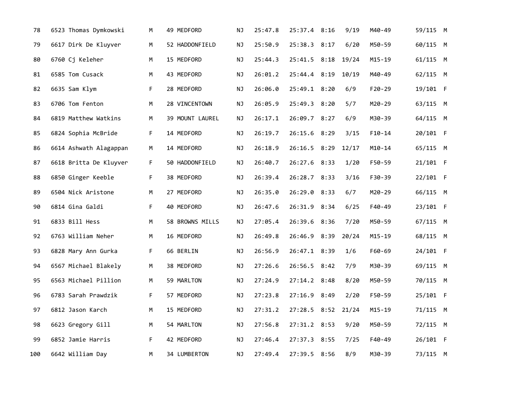| 78  | 6523 Thomas Dymkowski  | М  | 49 MEDFORD      | ΝJ        | 25:47.8 | 25:37.4 8:16       | 9/19  | M40-49     | 59/115 M   |  |
|-----|------------------------|----|-----------------|-----------|---------|--------------------|-------|------------|------------|--|
| 79  | 6617 Dirk De Kluyver   | M  | 52 HADDONFIELD  | ΝJ        | 25:50.9 | 25:38.3 8:17       | 6/20  | M50-59     | 60/115 M   |  |
| 80  | 6760 Cj Keleher        | M  | 15 MEDFORD      | ΝJ        | 25:44.3 | 25:41.5 8:18 19/24 |       | $M15 - 19$ | 61/115 M   |  |
| 81  | 6585 Tom Cusack        | M  | 43 MEDFORD      | ΝJ        | 26:01.2 | 25:44.4 8:19       | 10/19 | M40-49     | 62/115 M   |  |
| 82  | 6635 Sam Klym          | F  | 28 MEDFORD      | ΝJ        | 26:06.0 | 25:49.1 8:20       | 6/9   | F20-29     | 19/101 F   |  |
| 83  | 6706 Tom Fenton        | M  | 28 VINCENTOWN   | ΝJ        | 26:05.9 | 25:49.3 8:20       | 5/7   | M20-29     | 63/115 M   |  |
| 84  | 6819 Matthew Watkins   | M  | 39 MOUNT LAUREL | ΝJ        | 26:17.1 | 26:09.7 8:27       | 6/9   | M30-39     | 64/115 M   |  |
| 85  | 6824 Sophia McBride    | F. | 14 MEDFORD      | ΝJ        | 26:19.7 | 26:15.6 8:29       | 3/15  | $F10-14$   | 20/101 F   |  |
| 86  | 6614 Ashwath Alagappan | М  | 14 MEDFORD      | ΝJ        | 26:18.9 | 26:16.5 8:29       | 12/17 | $M10 - 14$ | 65/115 M   |  |
| 87  | 6618 Britta De Kluyver | F. | 50 HADDONFIELD  | ΝJ        | 26:40.7 | 26:27.6 8:33       | 1/20  | F50-59     | $21/101$ F |  |
| 88  | 6850 Ginger Keeble     | F. | 38 MEDFORD      | ΝJ        | 26:39.4 | 26:28.7 8:33       | 3/16  | F30-39     | 22/101 F   |  |
| 89  | 6504 Nick Aristone     | M  | 27 MEDFORD      | NJ        | 26:35.0 | 26:29.0 8:33       | 6/7   | M20-29     | 66/115 M   |  |
| 90  | 6814 Gina Galdi        | F  | 40 MEDFORD      | NJ        | 26:47.6 | 26:31.9 8:34       | 6/25  | F40-49     | 23/101 F   |  |
| 91  | 6833 Bill Hess         | M  | 58 BROWNS MILLS | <b>NJ</b> | 27:05.4 | 26:39.6 8:36       | 7/20  | M50-59     | 67/115 M   |  |
| 92  | 6763 William Neher     | M  | 16 MEDFORD      | ΝJ        | 26:49.8 | 26:46.9 8:39       | 20/24 | $M15 - 19$ | 68/115 M   |  |
| 93  | 6828 Mary Ann Gurka    | F. | 66 BERLIN       | ΝJ        | 26:56.9 | 26:47.1 8:39       | 1/6   | F60-69     | 24/101 F   |  |
| 94  | 6567 Michael Blakely   | M  | 38 MEDFORD      | ΝJ        | 27:26.6 | 26:56.5 8:42       | 7/9   | M30-39     | 69/115 M   |  |
| 95  | 6563 Michael Pillion   | M  | 59 MARLTON      | ΝJ        | 27:24.9 | 27:14.2 8:48       | 8/20  | M50-59     | 70/115 M   |  |
| 96  | 6783 Sarah Prawdzik    | F. | 57 MEDFORD      | ΝJ        | 27:23.8 | 27:16.9 8:49       | 2/20  | F50-59     | 25/101 F   |  |
| 97  | 6812 Jason Karch       | M  | 15 MEDFORD      | ΝJ        | 27:31.2 | 27:28.5 8:52       | 21/24 | $M15 - 19$ | 71/115 M   |  |
| 98  | 6623 Gregory Gill      | M  | 54 MARLTON      | ΝJ        | 27:56.8 | 27:31.2 8:53       | 9/20  | M50-59     | 72/115 M   |  |
| 99  | 6852 Jamie Harris      | F  | 42 MEDFORD      | ΝJ        | 27:46.4 | 27:37.3 8:55       | 7/25  | F40-49     | 26/101 F   |  |
| 100 | 6642 William Day       | M  | 34 LUMBERTON    | ΝJ        | 27:49.4 | 27:39.5 8:56       | 8/9   | M30-39     | 73/115 M   |  |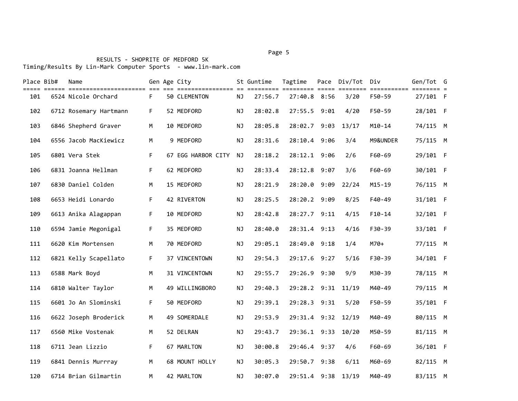#### Page 5 and 2012 and 2012 and 2012 and 2012 and 2012 and 2012 and 2012 and 2012 and 2012 and 2012 and 2012 and

# RESULTS - SHOPRITE OF MEDFORD 5K

Timing/Results By Lin-Mark Computer Sports - www.lin-mark.com

| Place Bib# | Name                   |    | Gen Age City        |           | St Guntime | Tagtime            | Pace Div/Tot Div |            | Gen/Tot G  |  |
|------------|------------------------|----|---------------------|-----------|------------|--------------------|------------------|------------|------------|--|
| 101        | 6524 Nicole Orchard    | F  | <b>50 CLEMENTON</b> | ΝJ        | 27:56.7    | 27:40.8 8:56       | 3/20             | F50-59     | $27/101$ F |  |
| 102        | 6712 Rosemary Hartmann | F  | 52 MEDFORD          | <b>NJ</b> | 28:02.8    | 27:55.5 9:01       | 4/20             | F50-59     | 28/101 F   |  |
| 103        | 6846 Shepherd Graver   | M  | 10 MEDFORD          | NJ        | 28:05.8    | 28:02.7 9:03       | 13/17            | $M10-14$   | 74/115 M   |  |
| 104        | 6556 Jacob MacKiewicz  | M  | 9 MEDFORD           | NJ        | 28:31.6    | 28:10.4 9:06       | 3/4              | M9&UNDER   | 75/115 M   |  |
| 105        | 6801 Vera Stek         | F. | 67 EGG HARBOR CITY  | NJ        | 28:18.2    | 28:12.1 9:06       | 2/6              | F60-69     | 29/101 F   |  |
| 106        | 6831 Joanna Hellman    | F  | 62 MEDFORD          | NJ        | 28:33.4    | 28:12.8 9:07       | 3/6              | F60-69     | 30/101 F   |  |
| 107        | 6830 Daniel Colden     | M  | 15 MEDFORD          | NJ        | 28:21.9    | 28:20.0 9:09       | 22/24            | $M15 - 19$ | 76/115 M   |  |
| 108        | 6653 Heidi Lonardo     | F  | 42 RIVERTON         | NJ        | 28:25.5    | 28:20.2 9:09       | 8/25             | F40-49     | 31/101 F   |  |
| 109        | 6613 Anika Alagappan   | F  | 10 MEDFORD          | <b>NJ</b> | 28:42.8    | 28:27.7 9:11       | 4/15             | $F10-14$   | 32/101 F   |  |
| 110        | 6594 Jamie Megonigal   | F. | 35 MEDFORD          | <b>NJ</b> | 28:40.0    | 28:31.4 9:13       | 4/16             | F30-39     | 33/101 F   |  |
| 111        | 6620 Kim Mortensen     | М  | 70 MEDFORD          | ΝJ        | 29:05.1    | 28:49.0 9:18       | 1/4              | $M70+$     | 77/115 M   |  |
| 112        | 6821 Kelly Scapellato  | F  | 37 VINCENTOWN       | <b>NJ</b> | 29:54.3    | 29:17.6 9:27       | 5/16             | F30-39     | 34/101 F   |  |
| 113        | 6588 Mark Boyd         | M  | 31 VINCENTOWN       | <b>NJ</b> | 29:55.7    | 29:26.9 9:30       | 9/9              | M30-39     | 78/115 M   |  |
| 114        | 6810 Walter Taylor     | M  | 49 WILLINGBORO      | <b>NJ</b> | 29:40.3    | 29:28.2 9:31       | 11/19            | M40-49     | 79/115 M   |  |
| 115        | 6601 Jo An Slominski   | F  | 50 MEDFORD          | NJ        | 29:39.1    | 29:28.3 9:31       | 5/20             | F50-59     | 35/101 F   |  |
| 116        | 6622 Joseph Broderick  | M  | 49 SOMERDALE        | NJ        | 29:53.9    | 29:31.4 9:32 12/19 |                  | M40-49     | 80/115 M   |  |
| 117        | 6560 Mike Vostenak     | M  | 52 DELRAN           | NJ        | 29:43.7    | 29:36.1 9:33       | 10/20            | M50-59     | 81/115 M   |  |
| 118        | 6711 Jean Lizzio       | F  | 67 MARLTON          | NJ        | 30:00.8    | 29:46.4 9:37       | 4/6              | F60-69     | 36/101 F   |  |
| 119        | 6841 Dennis Murrray    | M  | 68 MOUNT HOLLY      | <b>NJ</b> | 30:05.3    | 29:50.7 9:38       | 6/11             | M60-69     | 82/115 M   |  |
| 120        | 6714 Brian Gilmartin   | M  | 42 MARLTON          | <b>NJ</b> | 30:07.0    | 29:51.4 9:38 13/19 |                  | M40-49     | 83/115 M   |  |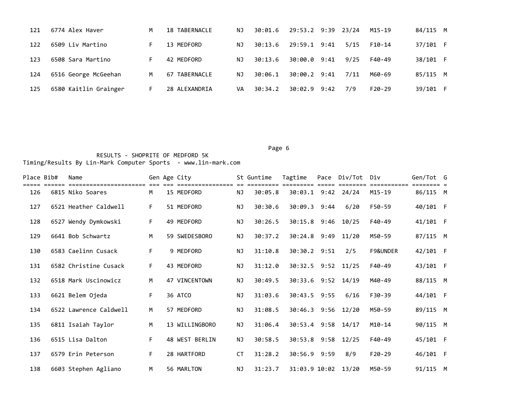| 121 | 6774 Alex Haver       | М  | 18 TABERNACLE | ΝJ  | 30:01.6 | 29:53.2 9:39 23/24 |      |      | M15-19   | 84/115 M |  |
|-----|-----------------------|----|---------------|-----|---------|--------------------|------|------|----------|----------|--|
| 122 | 6509 Liv Martino      |    | 13 MEDFORD    | ΝJ  | 30:13.6 | 29:59.1 9:41       |      | 5/15 | F10-14   | 37/101 F |  |
| 123 | 6508 Sara Martino     |    | 42 MEDFORD    | NJ. | 30:13.6 | 30:00.0            | 9:41 | 9/25 | F40-49   | 38/101 F |  |
| 124 | 6516 George McGeehan  | M  | 67 TABERNACLE | ΝJ  | 30:06.1 | 30:00.2 9:41       |      | 7/11 | M60-69   | 85/115 M |  |
| 125 | 6580 Kaitlin Grainger | н. | 28 ALEXANDRIA | VA  | 30:34.2 | 30:02.9 9:42       |      | 7/9  | $F20-29$ | 39/101 F |  |

### Page 6 and the contract of the contract of the contract of the contract of the contract of the contract of the

| Place Bib# | Name                   |    | Gen Age City   |           | St Guntime | Tagtime             | Pace Div/Tot Div |          | Gen/Tot G |  |
|------------|------------------------|----|----------------|-----------|------------|---------------------|------------------|----------|-----------|--|
| 126        | 6815 Niko Soares       | M  | 15 MEDFORD     | ΝJ        | 30:05.8    | 30:03.1 9:42 24/24  |                  | M15-19   | 86/115 M  |  |
| 127        | 6521 Heather Caldwell  | F. | 51 MEDFORD     | <b>NJ</b> | 30:30.6    | 30:09.3 9:44        | 6/20             | F50-59   | 40/101 F  |  |
| 128        | 6527 Wendy Dymkowski   | F. | 49 MEDFORD     | <b>NJ</b> | 30:26.5    | 30:15.8 9:46        | 10/25            | F40-49   | 41/101 F  |  |
| 129        | 6641 Bob Schwartz      | М  | 59 SWEDESBORO  | <b>NJ</b> | 30:37.2    | 30:24.8 9:49        | 11/20            | M50-59   | 87/115 M  |  |
| 130        | 6583 Caelinn Cusack    | F. | 9 MEDFORD      | <b>NJ</b> | 31:10.8    | 30:30.2 9:51        | 2/5              | F9&UNDER | 42/101 F  |  |
| 131        | 6582 Christine Cusack  | F. | 43 MEDFORD     | <b>NJ</b> | 31:12.0    | 30:32.5 9:52 11/25  |                  | F40-49   | 43/101 F  |  |
| 132        | 6518 Mark Uscinowicz   | М  | 47 VINCENTOWN  | ΝJ        | 30:49.5    | 30:33.6 9:52 14/19  |                  | M40-49   | 88/115 M  |  |
| 133        | 6621 Belem Ojeda       | F. | 36 ATCO        | <b>NJ</b> | 31:03.6    | 30:43.5 9:55        | 6/16             | F30-39   | 44/101 F  |  |
| 134        | 6522 Lawrence Caldwell | M  | 57 MEDFORD     | <b>NJ</b> | 31:08.5    | 30:46.3 9:56 12/20  |                  | M50-59   | 89/115 M  |  |
| 135        | 6811 Isaiah Taylor     | M  | 13 WILLINGBORO | <b>NJ</b> | 31:06.4    | 30:53.4 9:58 14/17  |                  | M10-14   | 90/115 M  |  |
| 136        | 6515 Lisa Dalton       | F  | 48 WEST BERLIN | ΝJ        | 30:58.5    | 30:53.8 9:58 12/25  |                  | F40-49   | 45/101 F  |  |
| 137        | 6579 Erin Peterson     | F. | 28 HARTFORD    | CT        | 31:28.2    | 30:56.9 9:59        | 8/9              | F20-29   | 46/101 F  |  |
| 138        | 6603 Stephen Agliano   | M  | 56 MARLTON     | <b>NJ</b> | 31:23.7    | 31:03.9 10:02 13/20 |                  | M50-59   | 91/115 M  |  |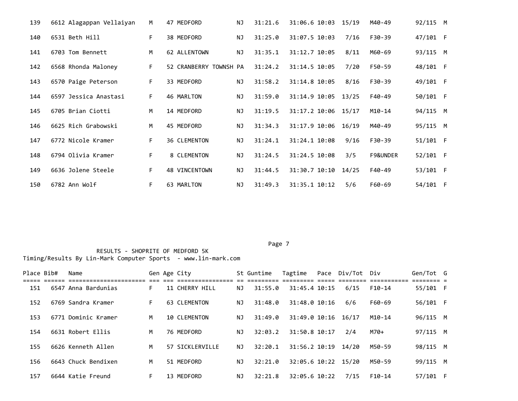| 139 | 6612 Alagappan Vellaiyan | M  | 47 MEDFORD             | <b>NJ</b> | 31:21.6 | 31:06.6 10:03 | 15/19 | M40-49   | 92/115 M |  |
|-----|--------------------------|----|------------------------|-----------|---------|---------------|-------|----------|----------|--|
| 140 | 6531 Beth Hill           | F. | 38 MEDFORD             | <b>NJ</b> | 31:25.0 | 31:07.5 10:03 | 7/16  | F30-39   | 47/101 F |  |
| 141 | 6703 Tom Bennett         | M  | 62 ALLENTOWN           | <b>NJ</b> | 31:35.1 | 31:12.7 10:05 | 8/11  | M60-69   | 93/115 M |  |
| 142 | 6568 Rhonda Maloney      | F. | 52 CRANBERRY TOWNSH PA |           | 31:24.2 | 31:14.5 10:05 | 7/20  | F50-59   | 48/101 F |  |
| 143 | 6570 Paige Peterson      | F. | 33 MEDFORD             | <b>NJ</b> | 31:58.2 | 31:14.8 10:05 | 8/16  | F30-39   | 49/101 F |  |
| 144 | 6597 Jessica Anastasi    | F. | 46 MARLTON             | <b>NJ</b> | 31:59.0 | 31:14.9 10:05 | 13/25 | F40-49   | 50/101 F |  |
| 145 | 6705 Brian Ciotti        | M  | 14 MEDFORD             | <b>NJ</b> | 31:19.5 | 31:17.2 10:06 | 15/17 | $M10-14$ | 94/115 M |  |
| 146 | 6625 Rich Grabowski      | M  | 45 MEDFORD             | <b>NJ</b> | 31:34.3 | 31:17.9 10:06 | 16/19 | M40-49   | 95/115 M |  |
| 147 | 6772 Nicole Kramer       | F. | <b>36 CLEMENTON</b>    | <b>NJ</b> | 31:24.1 | 31:24.1 10:08 | 9/16  | F30-39   | 51/101 F |  |
| 148 | 6794 Olivia Kramer       | F. | 8 CLEMENTON            | <b>NJ</b> | 31:24.5 | 31:24.5 10:08 | 3/5   | F9&UNDER | 52/101 F |  |
| 149 | 6636 Jolene Steele       | F. | <b>48 VINCENTOWN</b>   | <b>NJ</b> | 31:44.5 | 31:30.7 10:10 | 14/25 | F40-49   | 53/101 F |  |
| 150 | 6782 Ann Wolf            | F  | 63 MARLTON             | <b>NJ</b> | 31:49.3 | 31:35.1 10:12 | 5/6   | F60-69   | 54/101 F |  |

#### Page 7

| Place Bib# | Name                |    | Gen Age City        |    | St Guntime | Tagtime             | Pace Div/Tot Div |        | Gen/Tot G |  |
|------------|---------------------|----|---------------------|----|------------|---------------------|------------------|--------|-----------|--|
| 151        | 6547 Anna Bardunias | F. | 11 CHERRY HILL      | ΝJ | 31:55.0    | 31:45.4 10:15       | 6/15             | F10-14 | 55/101 F  |  |
| 152        | 6769 Sandra Kramer  | F. | 63 CLEMENTON        | ΝJ | 31:48.0    | 31:48.0 10:16       | 6/6              | F60-69 | 56/101 F  |  |
| 153        | 6771 Dominic Kramer | M  | <b>10 CLEMENTON</b> | ΝJ | 31:49.0    | 31:49.0 10:16       | 16/17            | M10-14 | 96/115 M  |  |
| 154        | 6631 Robert Ellis   | м  | 76 MEDFORD          | ΝJ | 32:03.2    | 31:50.8 10:17       | 2/4              | M70+   | 97/115 M  |  |
| 155        | 6626 Kenneth Allen  | M  | 57 SICKLERVILLE     | ΝJ | 32:20.1    | 31:56.2 10:19       | 14/20            | M50-59 | 98/115 M  |  |
| 156        | 6643 Chuck Bendixen | M  | 51 MEDFORD          | ΝJ | 32:21.0    | 32:05.6 10:22 15/20 |                  | M50-59 | 99/115 M  |  |
| 157        | 6644 Katie Freund   | F. | 13 MEDFORD          | ΝJ | 32:21.8    | 32:05.6 10:22       | 7/15             | F10-14 | 57/101 F  |  |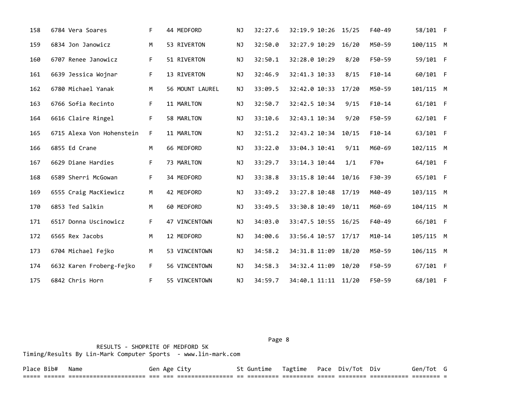| 158 | 6784 Vera Soares          | F. | 44 MEDFORD      | <b>NJ</b> | 32:27.6 | 32:19.9 10:26 15/25 |       | F40-49   | 58/101 F  |  |
|-----|---------------------------|----|-----------------|-----------|---------|---------------------|-------|----------|-----------|--|
| 159 | 6834 Jon Janowicz         | M  | 53 RIVERTON     | <b>NJ</b> | 32:50.0 | 32:27.9 10:29       | 16/20 | M50-59   | 100/115 M |  |
| 160 | 6707 Renee Janowicz       | F. | 51 RIVERTON     | <b>NJ</b> | 32:50.1 | 32:28.0 10:29       | 8/20  | F50-59   | 59/101 F  |  |
| 161 | 6639 Jessica Wojnar       | F  | 13 RIVERTON     | NJ        | 32:46.9 | 32:41.3 10:33       | 8/15  | $F10-14$ | 60/101 F  |  |
| 162 | 6780 Michael Yanak        | M  | 56 MOUNT LAUREL | ΝJ        | 33:09.5 | 32:42.0 10:33       | 17/20 | M50-59   | 101/115 M |  |
| 163 | 6766 Sofia Recinto        | F. | 11 MARLTON      | ΝJ        | 32:50.7 | 32:42.5 10:34       | 9/15  | $F10-14$ | 61/101 F  |  |
| 164 | 6616 Claire Ringel        | F. | 58 MARLTON      | <b>NJ</b> | 33:10.6 | 32:43.1 10:34       | 9/20  | F50-59   | 62/101 F  |  |
| 165 | 6715 Alexa Von Hohenstein | F. | 11 MARLTON      | <b>NJ</b> | 32:51.2 | 32:43.2 10:34       | 10/15 | $F10-14$ | 63/101 F  |  |
| 166 | 6855 Ed Crane             | M  | 66 MEDFORD      | NJ.       | 33:22.0 | 33:04.3 10:41       | 9/11  | M60-69   | 102/115 M |  |
| 167 | 6629 Diane Hardies        | F. | 73 MARLTON      | <b>NJ</b> | 33:29.7 | 33:14.3 10:44       | 1/1   | $F70+$   | 64/101 F  |  |
| 168 | 6589 Sherri McGowan       | F  | 34 MEDFORD      | <b>NJ</b> | 33:38.8 | 33:15.8 10:44       | 10/16 | F30-39   | 65/101 F  |  |
| 169 | 6555 Craig MacKiewicz     | M  | 42 MEDFORD      | NJ        | 33:49.2 | 33:27.8 10:48       | 17/19 | M40-49   | 103/115 M |  |
| 170 | 6853 Ted Salkin           | M  | 60 MEDFORD      | <b>NJ</b> | 33:49.5 | 33:30.8 10:49       | 10/11 | M60-69   | 104/115 M |  |
| 171 | 6517 Donna Uscinowicz     | F. | 47 VINCENTOWN   | NJ        | 34:03.0 | 33:47.5 10:55       | 16/25 | F40-49   | 66/101 F  |  |
| 172 | 6565 Rex Jacobs           | M  | 12 MEDFORD      | NJ        | 34:00.6 | 33:56.4 10:57       | 17/17 | $M10-14$ | 105/115 M |  |
| 173 | 6704 Michael Fejko        | M  | 53 VINCENTOWN   | <b>NJ</b> | 34:58.2 | 34:31.8 11:09       | 18/20 | M50-59   | 106/115 M |  |
| 174 | 6632 Karen Froberg-Fejko  | F. | 56 VINCENTOWN   | ΝJ        | 34:58.3 | 34:32.4 11:09       | 10/20 | F50-59   | 67/101 F  |  |
| 175 | 6842 Chris Horn           | F. | 55 VINCENTOWN   | ΝJ        | 34:59.7 | 34:40.1 11:11 11/20 |       | F50-59   | 68/101 F  |  |

 RESULTS - SHOPRITE OF MEDFORD 5K Timing/Results By Lin-Mark Computer Sports - www.lin-mark.com

Page 8 and 2012 and 2012 and 2012 and 2012 and 2012 and 2012 and 2012 and 2012 and 2012 and 2012 and 2012 and

Place Bib# Name Thame Gen Age City St Guntime Tagtime Pace Div/Tot Div Gen/Tot G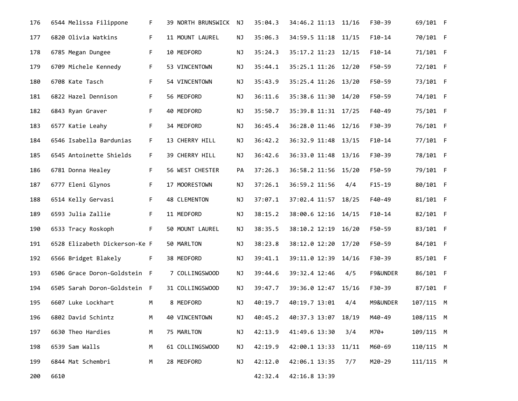| 176 | 6544 Melissa Filippone        | F. | 39 NORTH BRUNSWICK | ΝJ        | 35:04.3 | 34:46.2 11:13 11/16 |       | F30-39   | 69/101 F  |  |
|-----|-------------------------------|----|--------------------|-----------|---------|---------------------|-------|----------|-----------|--|
| 177 | 6820 Olivia Watkins           | F  | 11 MOUNT LAUREL    | ΝJ        | 35:06.3 | 34:59.5 11:18 11/15 |       | $F10-14$ | 70/101 F  |  |
| 178 | 6785 Megan Dungee             | F. | 10 MEDFORD         | NJ        | 35:24.3 | 35:17.2 11:23 12/15 |       | $F10-14$ | 71/101 F  |  |
| 179 | 6709 Michele Kennedy          | F. | 53 VINCENTOWN      | ΝJ        | 35:44.1 | 35:25.1 11:26 12/20 |       | F50-59   | 72/101 F  |  |
| 180 | 6708 Kate Tasch               | F. | 54 VINCENTOWN      | ΝJ        | 35:43.9 | 35:25.4 11:26 13/20 |       | F50-59   | 73/101 F  |  |
| 181 | 6822 Hazel Dennison           | F. | 56 MEDFORD         | ΝJ        | 36:11.6 | 35:38.6 11:30 14/20 |       | F50-59   | 74/101 F  |  |
| 182 | 6843 Ryan Graver              | F. | 40 MEDFORD         | NJ        | 35:50.7 | 35:39.8 11:31 17/25 |       | F40-49   | 75/101 F  |  |
| 183 | 6577 Katie Leahy              | F  | 34 MEDFORD         | ΝJ        | 36:45.4 | 36:28.0 11:46 12/16 |       | F30-39   | 76/101 F  |  |
| 184 | 6546 Isabella Bardunias       | F. | 13 CHERRY HILL     | ΝJ        | 36:42.2 | 36:32.9 11:48 13/15 |       | $F10-14$ | 77/101 F  |  |
| 185 | 6545 Antoinette Shields       | F. | 39 CHERRY HILL     | ΝJ        | 36:42.6 | 36:33.0 11:48 13/16 |       | F30-39   | 78/101 F  |  |
| 186 | 6781 Donna Healey             | F. | 56 WEST CHESTER    | PA        | 37:26.3 | 36:58.2 11:56 15/20 |       | F50-59   | 79/101 F  |  |
| 187 | 6777 Eleni Glynos             | F. | 17 MOORESTOWN      | NJ        | 37:26.1 | 36:59.2 11:56       | 4/4   | $F15-19$ | 80/101 F  |  |
| 188 | 6514 Kelly Gervasi            | F. | 48 CLEMENTON       | NJ        | 37:07.1 | 37:02.4 11:57       | 18/25 | F40-49   | 81/101 F  |  |
| 189 | 6593 Julia Zallie             | F. | 11 MEDFORD         | ΝJ        | 38:15.2 | 38:00.6 12:16 14/15 |       | $F10-14$ | 82/101 F  |  |
| 190 | 6533 Tracy Roskoph            | F. | 50 MOUNT LAUREL    | ΝJ        | 38:35.5 | 38:10.2 12:19       | 16/20 | F50-59   | 83/101 F  |  |
| 191 | 6528 Elizabeth Dickerson-Ke F |    | 50 MARLTON         | ΝJ        | 38:23.8 | 38:12.0 12:20 17/20 |       | F50-59   | 84/101 F  |  |
| 192 | 6566 Bridget Blakely          | F. | 38 MEDFORD         | ΝJ        | 39:41.1 | 39:11.0 12:39 14/16 |       | F30-39   | 85/101 F  |  |
| 193 | 6506 Grace Doron-Goldstein F  |    | 7 COLLINGSWOOD     | ΝJ        | 39:44.6 | 39:32.4 12:46       | 4/5   | F9&UNDER | 86/101 F  |  |
| 194 | 6505 Sarah Doron-Goldstein F  |    | 31 COLLINGSWOOD    | ΝJ        | 39:47.7 | 39:36.0 12:47 15/16 |       | F30-39   | 87/101 F  |  |
| 195 | 6607 Luke Lockhart            | М  | 8 MEDFORD          | <b>NJ</b> | 40:19.7 | 40:19.7 13:01       | 4/4   | M9&UNDER | 107/115 M |  |
| 196 | 6802 David Schintz            | М  | 40 VINCENTOWN      | ΝJ        | 40:45.2 | 40:37.3 13:07 18/19 |       | M40-49   | 108/115 M |  |
| 197 | 6630 Theo Hardies             | М  | 75 MARLTON         | ΝJ        | 42:13.9 | 41:49.6 13:30       | 3/4   | M70+     | 109/115 M |  |
| 198 | 6539 Sam Walls                | M  | 61 COLLINGSWOOD    | ΝJ        | 42:19.9 | 42:00.1 13:33       | 11/11 | M60-69   | 110/115 M |  |
| 199 | 6844 Mat Schembri             | M  | 28 MEDFORD         | ΝJ        | 42:12.0 | 42:06.1 13:35       | 7/7   | M20-29   | 111/115 M |  |
| 200 | 6610                          |    |                    |           | 42:32.4 | 42:16.8 13:39       |       |          |           |  |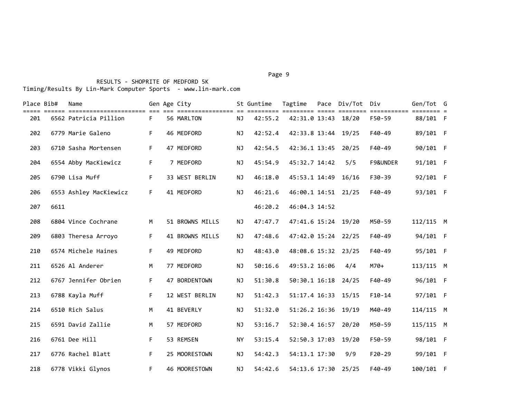# RESULTS - SHOPRITE OF MEDFORD 5K Timing/Results By Lin-Mark Computer Sports - www.lin-mark.com

| Place Bib# |      | Name                   |    | Gen Age City    |           | St Guntime | Tagtime             | Pace Div/Tot | Div      | Gen/Tot G |  |
|------------|------|------------------------|----|-----------------|-----------|------------|---------------------|--------------|----------|-----------|--|
| 201        |      | 6562 Patricia Pillion  | F. | 56 MARLTON      | <b>NJ</b> | 42:55.2    | 42:31.0 13:43 18/20 |              | F50-59   | 88/101 F  |  |
| 202        |      | 6779 Marie Galeno      | F  | 46 MEDFORD      | <b>NJ</b> | 42:52.4    | 42:33.8 13:44       | 19/25        | F40-49   | 89/101 F  |  |
| 203        |      | 6710 Sasha Mortensen   | F  | 47 MEDFORD      | <b>NJ</b> | 42:54.5    | 42:36.1 13:45       | 20/25        | F40-49   | 90/101 F  |  |
| 204        |      | 6554 Abby MacKiewicz   | F. | 7 MEDFORD       | <b>NJ</b> | 45:54.9    | 45:32.7 14:42       | 5/5          | F9&UNDER | 91/101 F  |  |
| 205        |      | 6790 Lisa Muff         | F. | 33 WEST BERLIN  | NJ.       | 46:18.0    | 45:53.1 14:49       | 16/16        | F30-39   | 92/101 F  |  |
| 206        |      | 6553 Ashley MacKiewicz | F. | 41 MEDFORD      | ΝJ        | 46:21.6    | 46:00.1 14:51 21/25 |              | F40-49   | 93/101 F  |  |
| 207        | 6611 |                        |    |                 |           | 46:20.2    | 46:04.3 14:52       |              |          |           |  |
| 208        |      | 6804 Vince Cochrane    | M  | 51 BROWNS MILLS | ΝJ        | 47:47.7    | 47:41.6 15:24 19/20 |              | M50-59   | 112/115 M |  |
| 209        |      | 6803 Theresa Arroyo    | F. | 41 BROWNS MILLS | <b>NJ</b> | 47:48.6    | 47:42.0 15:24 22/25 |              | F40-49   | 94/101 F  |  |
| 210        |      | 6574 Michele Haines    | F  | 49 MEDFORD      | <b>NJ</b> | 48:43.0    | 48:08.6 15:32 23/25 |              | F40-49   | 95/101 F  |  |
| 211        |      | 6526 Al Anderer        | M  | 77 MEDFORD      | NJ        | 50:16.6    | 49:53.2 16:06       | 4/4          | $M70+$   | 113/115 M |  |
| 212        |      | 6767 Jennifer Obrien   | F. | 47 BORDENTOWN   | NJ        | 51:30.8    | 50:30.1 16:18 24/25 |              | F40-49   | 96/101 F  |  |
| 213        |      | 6788 Kayla Muff        | F. | 12 WEST BERLIN  | <b>NJ</b> | 51:42.3    | 51:17.4 16:33 15/15 |              | $F10-14$ | 97/101 F  |  |
| 214        |      | 6510 Rich Salus        | M  | 41 BEVERLY      | <b>NJ</b> | 51:32.0    | 51:26.2 16:36 19/19 |              | M40-49   | 114/115 M |  |
| 215        |      | 6591 David Zallie      | M  | 57 MEDFORD      | <b>NJ</b> | 53:16.7    | 52:30.4 16:57       | 20/20        | M50-59   | 115/115 M |  |
| 216        |      | 6761 Dee Hill          | F  | 53 REMSEN       | <b>NY</b> | 53:15.4    | 52:50.3 17:03       | 19/20        | F50-59   | 98/101 F  |  |
| 217        |      | 6776 Rachel Blatt      | F  | 25 MOORESTOWN   | ΝJ        | 54:42.3    | 54:13.1 17:30       | 9/9          | $F20-29$ | 99/101 F  |  |
| 218        |      | 6778 Vikki Glynos      | F. | 46 MOORESTOWN   | <b>NJ</b> | 54:42.6    | 54:13.6 17:30       | 25/25        | F40-49   | 100/101 F |  |

#### Page 9 - Page 9 - Page 9 - Page 9 - Page 9 - Page 9 - Page 9 - Page 9 - Page 9 - Page 9